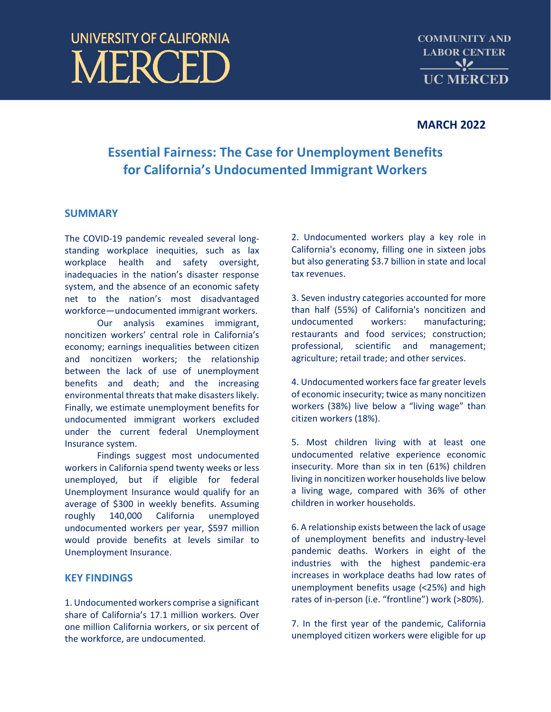# **UNIVERSITY OF CALIFORNIA JERCEI**

**COMMUNITY AND LABOR CENTER**  $\frac{1}{\sqrt{2}}$ **UC MERCED** 

## **MARCH 2022**

# **Essential Fairness: The Case for Unemployment Benefits for California's Undocumented Immigrant Workers**

## **SUMMARY**

The COVID-19 pandemic revealed several longstanding workplace inequities, such as lax workplace health and safety oversight, inadequacies in the nation's disaster response system, and the absence of an economic safety net to the nation's most disadvantaged workforce—undocumented immigrant workers.

Our analysis examines immigrant, noncitizen workers' central role in California's economy; earnings inequalities between citizen and noncitizen workers; the relationship between the lack of use of unemployment benefits and death; and the increasing environmental threats that make disasters likely. Finally, we estimate unemployment benefits for undocumented immigrant workers excluded under the current federal Unemployment Insurance system.

Findings suggest most undocumented workers in California spend twenty weeks or less unemployed, but if eligible for federal Unemployment Insurance would qualify for an average of \$300 in weekly benefits. Assuming roughly 140,000 California unemployed undocumented workers per year, \$597 million would provide benefits at levels similar to Unemployment Insurance.

## **KEY FINDINGS**

1. Undocumented workers comprise a significant share of California's 17.1 million workers. Over one million California workers, or six percent of the workforce, are undocumented.

2. Undocumented workers play a key role in California's economy, filling one in sixteen jobs but also generating \$3.7 billion in state and local tax revenues.

3. Seven industry categories accounted for more than half (55%) of California's noncitizen and undocumented workers: manufacturing; restaurants and food services; construction; professional, scientific and management; agriculture; retail trade; and other services.

4. Undocumented workers face far greater levels of economic insecurity; twice as many noncitizen workers (38%) live below a "living wage" than citizen workers (18%).

5. Most children living with at least one undocumented relative experience economic insecurity. More than six in ten (61%) children living in noncitizen worker households live below a living wage, compared with 36% of other children in worker households.

6. A relationship exists between the lack of usage of unemployment benefits and industry-level pandemic deaths. Workers in eight of the industries with the highest pandemic-era increases in workplace deaths had low rates of unemployment benefits usage (<25%) and high rates of in-person (i.e. "frontline") work (>80%).

7. In the first year of the pandemic, California unemployed citizen workers were eligible for up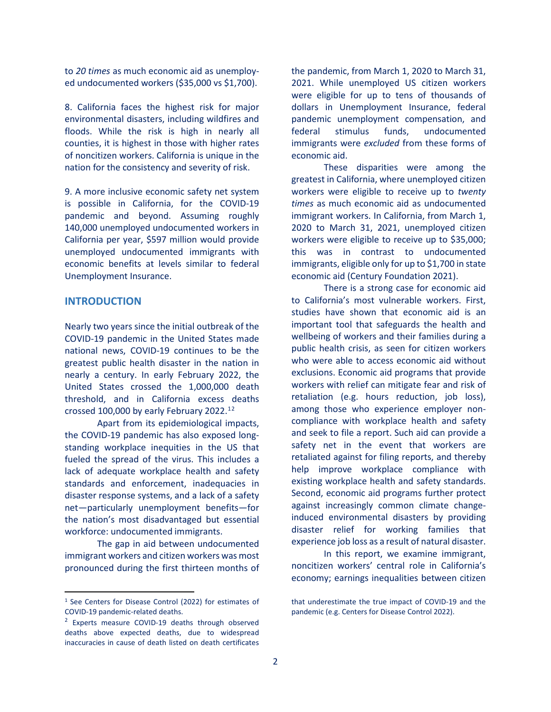to *20 times* as much economic aid as unemployed undocumented workers (\$35,000 vs \$1,700).

8. California faces the highest risk for major environmental disasters, including wildfires and floods. While the risk is high in nearly all counties, it is highest in those with higher rates of noncitizen workers. California is unique in the nation for the consistency and severity of risk.

9. A more inclusive economic safety net system is possible in California, for the COVID-19 pandemic and beyond. Assuming roughly 140,000 unemployed undocumented workers in California per year, \$597 million would provide unemployed undocumented immigrants with economic benefits at levels similar to federal Unemployment Insurance.

#### **INTRODUCTION**

Nearly two years since the initial outbreak of the COVID-19 pandemic in the United States made national news, COVID-19 continues to be the greatest public health disaster in the nation in nearly a century. In early February 2022, the United States crossed the 1,000,000 death threshold, and in California excess deaths crossed 100,000 by early February 2022.[1](#page-1-0)[2](#page-1-1)

Apart from its epidemiological impacts, the COVID-19 pandemic has also exposed longstanding workplace inequities in the US that fueled the spread of the virus. This includes a lack of adequate workplace health and safety standards and enforcement, inadequacies in disaster response systems, and a lack of a safety net—particularly unemployment benefits—for the nation's most disadvantaged but essential workforce: undocumented immigrants.

The gap in aid between undocumented immigrant workers and citizen workers was most pronounced during the first thirteen months of the pandemic, from March 1, 2020 to March 31, 2021. While unemployed US citizen workers were eligible for up to tens of thousands of dollars in Unemployment Insurance, federal pandemic unemployment compensation, and federal stimulus funds, undocumented immigrants were *excluded* from these forms of economic aid.

These disparities were among the greatest in California, where unemployed citizen workers were eligible to receive up to *twenty times* as much economic aid as undocumented immigrant workers. In California, from March 1, 2020 to March 31, 2021, unemployed citizen workers were eligible to receive up to \$35,000; this was in contrast to undocumented immigrants, eligible only for up to \$1,700 in state economic aid (Century Foundation 2021).

There is a strong case for economic aid to California's most vulnerable workers. First, studies have shown that economic aid is an important tool that safeguards the health and wellbeing of workers and their families during a public health crisis, as seen for citizen workers who were able to access economic aid without exclusions. Economic aid programs that provide workers with relief can mitigate fear and risk of retaliation (e.g. hours reduction, job loss), among those who experience employer noncompliance with workplace health and safety and seek to file a report. Such aid can provide a safety net in the event that workers are retaliated against for filing reports, and thereby help improve workplace compliance with existing workplace health and safety standards. Second, economic aid programs further protect against increasingly common climate changeinduced environmental disasters by providing disaster relief for working families that experience job loss as a result of natural disaster.

In this report, we examine immigrant, noncitizen workers' central role in California's economy; earnings inequalities between citizen

<span id="page-1-0"></span><sup>1</sup> See Centers for Disease Control (2022) for estimates of COVID-19 pandemic-related deaths.

<span id="page-1-1"></span><sup>&</sup>lt;sup>2</sup> Experts measure COVID-19 deaths through observed deaths above expected deaths, due to widespread inaccuracies in cause of death listed on death certificates

that underestimate the true impact of COVID-19 and the pandemic (e.g. Centers for Disease Control 2022).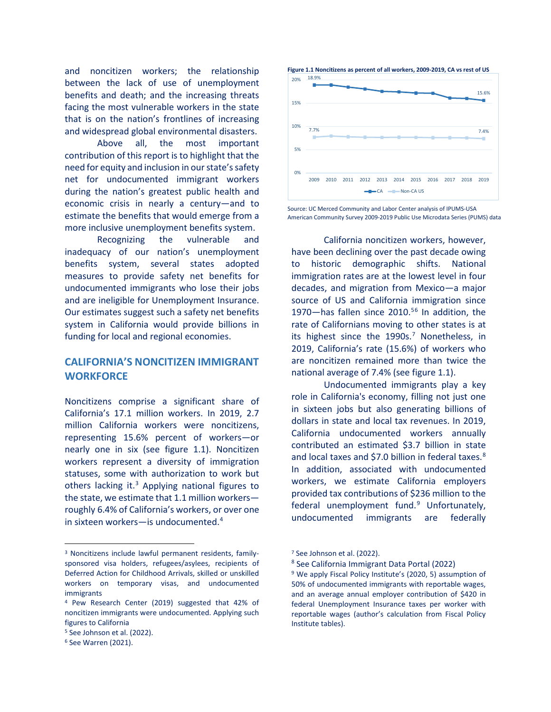and noncitizen workers; the relationship between the lack of use of unemployment benefits and death; and the increasing threats facing the most vulnerable workers in the state that is on the nation's frontlines of increasing and widespread global environmental disasters.

Above all, the most important contribution of this report is to highlight that the need for equity and inclusion in our state's safety net for undocumented immigrant workers during the nation's greatest public health and economic crisis in nearly a century—and to estimate the benefits that would emerge from a more inclusive unemployment benefits system.

Recognizing the vulnerable and inadequacy of our nation's unemployment benefits system, several states adopted measures to provide safety net benefits for undocumented immigrants who lose their jobs and are ineligible for Unemployment Insurance. Our estimates suggest such a safety net benefits system in California would provide billions in funding for local and regional economies.

## **CALIFORNIA'S NONCITIZEN IMMIGRANT WORKFORCE**

Noncitizens comprise a significant share of California's 17.1 million workers. In 2019, 2.7 million California workers were noncitizens, representing 15.6% percent of workers—or nearly one in six (see figure 1.1). Noncitizen workers represent a diversity of immigration statuses, some with authorization to work but others lacking it. $3$  Applying national figures to the state, we estimate that 1.1 million workers roughly 6.4% of California's workers, or over one in sixteen workers—is undocumented[.4](#page-2-1)

**Figure 1.1 Noncitizens as percent of all workers, 2009-2019, CA vs rest of US**



Source: UC Merced Community and Labor Center analysis of IPUMS-USA American Community Survey 2009-2019 Public Use Microdata Series (PUMS) data

California noncitizen workers, however, have been declining over the past decade owing to historic demographic shifts. National immigration rates are at the lowest level in four decades, and migration from Mexico—a major source of US and California immigration since 1970—has fallen since  $2010$ .<sup>[5](#page-2-2)[6](#page-2-3)</sup> In addition, the rate of Californians moving to other states is at its highest since the  $1990s$ .<sup>[7](#page-2-0)</sup> Nonetheless, in 2019, California's rate (15.6%) of workers who are noncitizen remained more than twice the national average of 7.4% (see figure 1.1).

Undocumented immigrants play a key role in California's economy, filling not just one in sixteen jobs but also generating billions of dollars in state and local tax revenues. In 2019, California undocumented workers annually contributed an estimated \$3.7 billion in state and local taxes and \$7.0 billion in federal taxes.<sup>[8](#page-2-4)</sup> In addition, associated with undocumented workers, we estimate California employers provided tax contributions of \$236 million to the federal unemployment fund. $9$  Unfortunately, undocumented immigrants are federally

<span id="page-2-5"></span><span id="page-2-4"></span><span id="page-2-0"></span><sup>3</sup> Noncitizens include lawful permanent residents, familysponsored visa holders, refugees/asylees, recipients of Deferred Action for Childhood Arrivals, skilled or unskilled workers on temporary visas, and undocumented immigrants

<span id="page-2-1"></span><sup>4</sup> Pew Research Center (2019) suggested that 42% of noncitizen immigrants were undocumented. Applying such figures to California

<span id="page-2-2"></span><sup>5</sup> See Johnson et al. (2022).

<span id="page-2-3"></span><sup>6</sup> See Warren (2021).

<sup>7</sup> See Johnson et al. (2022).

<sup>8</sup> See California Immigrant Data Portal (2022)

<sup>&</sup>lt;sup>9</sup> We apply Fiscal Policy Institute's (2020, 5) assumption of 50% of undocumented immigrants with reportable wages, and an average annual employer contribution of \$420 in federal Unemployment Insurance taxes per worker with reportable wages (author's calculation from Fiscal Policy Institute tables).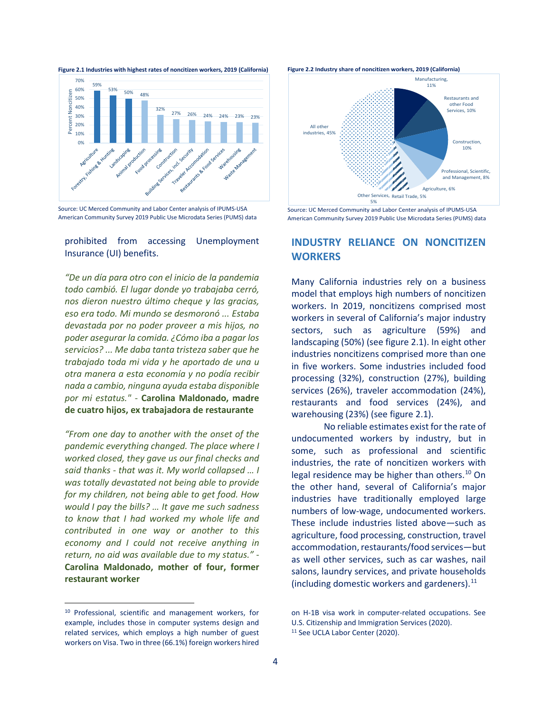**Figure 2.1 Industries with highest rates of noncitizen workers, 2019 (California)**



Source: UC Merced Community and Labor Center analysis of IPUMS-USA American Community Survey 2019 Public Use Microdata Series (PUMS) data

prohibited from accessing Unemployment Insurance (UI) benefits.

*"De un día para otro con el inicio de la pandemia todo cambió. El lugar donde yo trabajaba cerró, nos dieron nuestro último cheque y las gracias, eso era todo. Mi mundo se desmoronó ... Estaba devastada por no poder proveer a mis hijos, no poder asegurar la comida. ¿Cómo iba a pagar los servicios? ... Me daba tanta tristeza saber que he trabajado toda mi vida y he aportado de una u otra manera a esta economía y no podía recibir nada a cambio, ninguna ayuda estaba disponible por mi estatus."* - **Carolina Maldonado, madre de cuatro hijos, ex trabajadora de restaurante**

*"From one day to another with the onset of the pandemic everything changed. The place where I worked closed, they gave us our final checks and said thanks - that was it. My world collapsed … I was totally devastated not being able to provide for my children, not being able to get food. How would I pay the bills? … It gave me such sadness to know that I had worked my whole life and contributed in one way or another to this economy and I could not receive anything in return, no aid was available due to my status."* - **Carolina Maldonado, mother of four, former restaurant worker**





Source: UC Merced Community and Labor Center analysis of IPUMS-USA American Community Survey 2019 Public Use Microdata Series (PUMS) data

## **INDUSTRY RELIANCE ON NONCITIZEN WORKERS**

Many California industries rely on a business model that employs high numbers of noncitizen workers. In 2019, noncitizens comprised most workers in several of California's major industry sectors, such as agriculture (59%) and landscaping (50%) (see figure 2.1). In eight other industries noncitizens comprised more than one in five workers. Some industries included food processing (32%), construction (27%), building services (26%), traveler accommodation (24%), restaurants and food services (24%), and warehousing (23%) (see figure 2.1).

No reliable estimates exist for the rate of undocumented workers by industry, but in some, such as professional and scientific industries, the rate of noncitizen workers with legal residence may be higher than others.<sup>[10](#page-3-0)</sup> On the other hand, several of California's major industries have traditionally employed large numbers of low-wage, undocumented workers. These include industries listed above—such as agriculture, food processing, construction, travel accommodation, restaurants/food services—but as well other services, such as car washes, nail salons, laundry services, and private households (including domestic workers and gardeners). $^{11}$  $^{11}$  $^{11}$ 

<span id="page-3-1"></span><span id="page-3-0"></span><sup>10</sup> Professional, scientific and management workers, for example, includes those in computer systems design and related services, which employs a high number of guest workers on Visa. Two in three (66.1%) foreign workers hired

on H-1B visa work in computer-related occupations. See U.S. Citizenship and Immigration Services (2020). <sup>11</sup> See UCLA Labor Center (2020).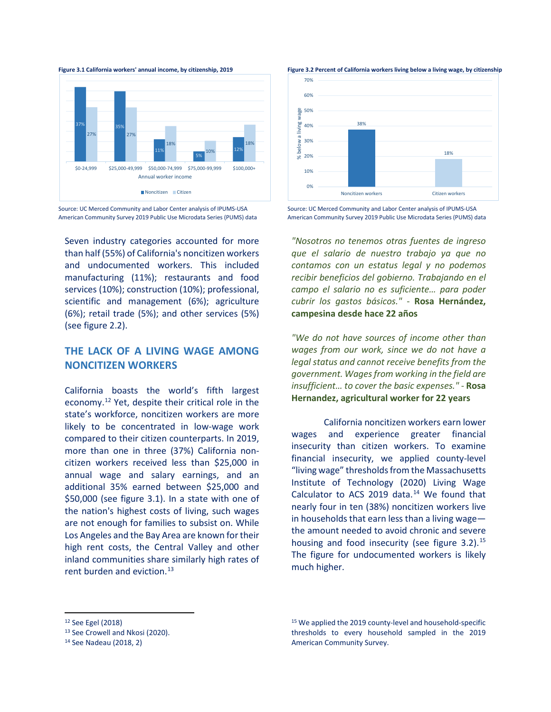



Source: UC Merced Community and Labor Center analysis of IPUMS-USA American Community Survey 2019 Public Use Microdata Series (PUMS) data

Seven industry categories accounted for more than half (55%) of California's noncitizen workers and undocumented workers. This included manufacturing (11%); restaurants and food services (10%); construction (10%); professional, scientific and management (6%); agriculture (6%); retail trade (5%); and other services (5%) (see figure 2.2).

## **THE LACK OF A LIVING WAGE AMONG NONCITIZEN WORKERS**

California boasts the world's fifth largest economy.[12](#page-4-0) Yet, despite their critical role in the state's workforce, noncitizen workers are more likely to be concentrated in low-wage work compared to their citizen counterparts. In 2019, more than one in three (37%) California noncitizen workers received less than \$25,000 in annual wage and salary earnings, and an additional 35% earned between \$25,000 and \$50,000 (see figure 3.1). In a state with one of the nation's highest costs of living, such wages are not enough for families to subsist on. While Los Angeles and the Bay Area are known for their high rent costs, the Central Valley and other inland communities share similarly high rates of rent burden and eviction.<sup>[13](#page-4-1)</sup>



Source: UC Merced Community and Labor Center analysis of IPUMS-USA American Community Survey 2019 Public Use Microdata Series (PUMS) data

*"Nosotros no tenemos otras fuentes de ingreso que el salario de nuestro trabajo ya que no contamos con un estatus legal y no podemos recibir beneficios del gobierno. Trabajando en el campo el salario no es suficiente… para poder cubrir los gastos básicos."* - **Rosa Hernández, campesina desde hace 22 años**

*"We do not have sources of income other than wages from our work, since we do not have a legal status and cannot receive benefits from the government. Wages from working in the field are insufficient… to cover the basic expenses."* - **Rosa Hernandez, agricultural worker for 22 years**

California noncitizen workers earn lower wages and experience greater financial insecurity than citizen workers. To examine financial insecurity, we applied county-level "living wage" thresholds from the Massachusetts Institute of Technology (2020) Living Wage Calculator to ACS 2019 data. $14$  We found that nearly four in ten (38%) noncitizen workers live in households that earn less than a living wage the amount needed to avoid chronic and severe housing and food insecurity (see figure  $3.2$ ).<sup>[15](#page-4-0)</sup> The figure for undocumented workers is likely much higher.

<span id="page-4-0"></span><sup>12</sup> See Egel (2018)

<span id="page-4-1"></span><sup>13</sup> See Crowell and Nkosi (2020).

<span id="page-4-2"></span><sup>14</sup> See Nadeau (2018, 2)

<sup>15</sup> We applied the 2019 county-level and household-specific thresholds to every household sampled in the 2019 American Community Survey.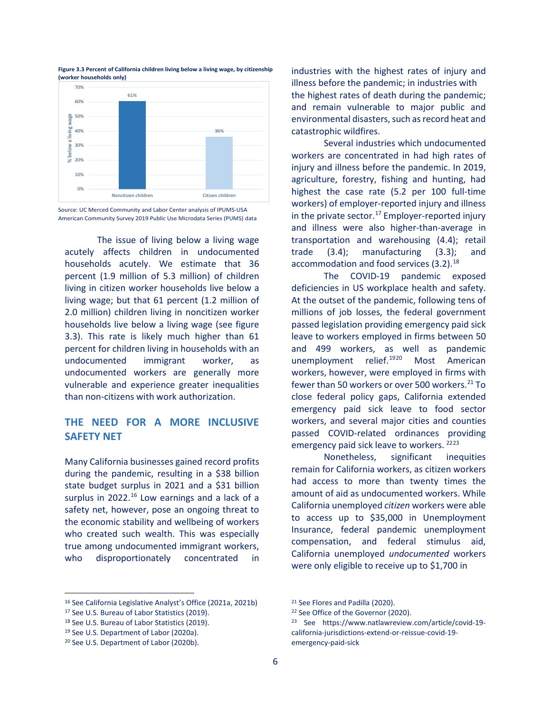

**Figure 3.3 Percent of California children living below a living wage, by citizenship (worker households only)**

Source: UC Merced Community and Labor Center analysis of IPUMS-USA American Community Survey 2019 Public Use Microdata Series (PUMS) data

The issue of living below a living wage acutely affects children in undocumented households acutely. We estimate that 36 percent (1.9 million of 5.3 million) of children living in citizen worker households live below a living wage; but that 61 percent (1.2 million of 2.0 million) children living in noncitizen worker households live below a living wage (see figure 3.3). This rate is likely much higher than 61 percent for children living in households with an undocumented immigrant worker, as undocumented workers are generally more vulnerable and experience greater inequalities than non-citizens with work authorization.

## **THE NEED FOR A MORE INCLUSIVE SAFETY NET**

Many California businesses gained record profits during the pandemic, resulting in a \$38 billion state budget surplus in 2021 and a \$31 billion surplus in  $2022<sup>16</sup>$  $2022<sup>16</sup>$  $2022<sup>16</sup>$  Low earnings and a lack of a safety net, however, pose an ongoing threat to the economic stability and wellbeing of workers who created such wealth. This was especially true among undocumented immigrant workers, who disproportionately concentrated in

industries with the highest rates of injury and illness before the pandemic; in industries with the highest rates of death during the pandemic; and remain vulnerable to major public and environmental disasters, such as record heat and catastrophic wildfires.

Several industries which undocumented workers are concentrated in had high rates of injury and illness before the pandemic. In 2019, agriculture, forestry, fishing and hunting, had highest the case rate (5.2 per 100 full-time workers) of employer-reported injury and illness in the private sector.<sup>[17](#page-5-1)</sup> Employer-reported injury and illness were also higher-than-average in transportation and warehousing (4.4); retail trade (3.4); manufacturing (3.3); and accommodation and food services  $(3.2).^{18}$  $(3.2).^{18}$  $(3.2).^{18}$ 

The COVID-19 pandemic exposed deficiencies in US workplace health and safety. At the outset of the pandemic, following tens of millions of job losses, the federal government passed legislation providing emergency paid sick leave to workers employed in firms between 50 and 499 workers, as well as pandemic unemployment relief.<sup>[19](#page-5-3)[20](#page-5-4)</sup> Most American workers, however, were employed in firms with fewer than 50 workers or over 500 workers. $21$  To close federal policy gaps, California extended emergency paid sick leave to food sector workers, and several major cities and counties passed COVID-related ordinances providing emergency paid sick leave to workers. <sup>[22](#page-5-1)[23](#page-5-2)</sup>

Nonetheless, significant inequities remain for California workers, as citizen workers had access to more than twenty times the amount of aid as undocumented workers. While California unemployed *citizen* workers were able to access up to \$35,000 in Unemployment Insurance, federal pandemic unemployment compensation, and federal stimulus aid, California unemployed *undocumented* workers were only eligible to receive up to \$1,700 in

<span id="page-5-0"></span><sup>16</sup> See California Legislative Analyst's Office (2021a, 2021b)

<span id="page-5-1"></span><sup>17</sup> See U.S. Bureau of Labor Statistics (2019).

<span id="page-5-2"></span><sup>18</sup> See U.S. Bureau of Labor Statistics (2019).

<span id="page-5-3"></span><sup>19</sup> See U.S. Department of Labor (2020a).

<span id="page-5-4"></span><sup>20</sup> See U.S. Department of Labor (2020b).

<sup>21</sup> See Flores and Padilla (2020).

<sup>22</sup> See Office of the Governor (2020).

<sup>23</sup> See https://www.natlawreview.com/article/covid-19 california-jurisdictions-extend-or-reissue-covid-19 emergency-paid-sick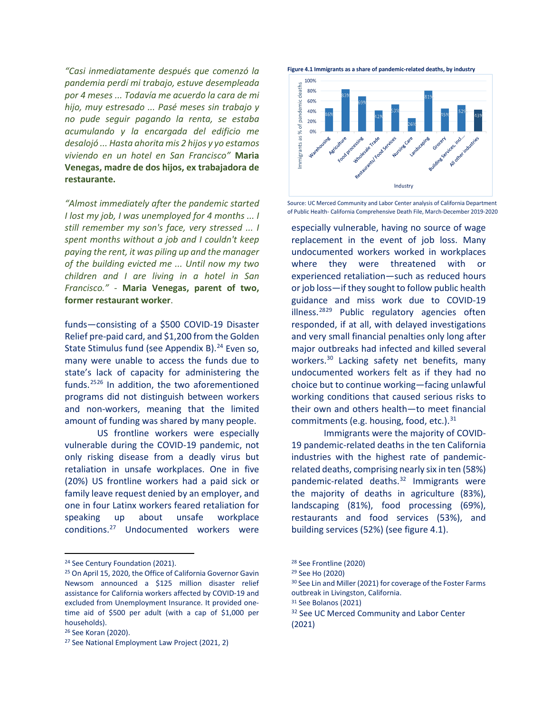*"Casi inmediatamente después que comenzó la pandemia perdí mi trabajo, estuve desempleada por 4 meses ... Todavía me acuerdo la cara de mi hijo, muy estresado ... Pasé meses sin trabajo y no pude seguir pagando la renta, se estaba acumulando y la encargada del edificio me desalojó ... Hasta ahorita mis 2 hijos y yo estamos viviendo en un hotel en San Francisco"* **Maria Venegas, madre de dos hijos, ex trabajadora de restaurante.**

*"Almost immediately after the pandemic started I lost my job, I was unemployed for 4 months ... I still remember my son's face, very stressed ... I spent months without a job and I couldn't keep paying the rent, it was piling up and the manager of the building evicted me ... Until now my two children and I are living in a hotel in San Francisco."* - **Maria Venegas, parent of two, former restaurant worker**.

funds—consisting of a \$500 COVID-19 Disaster Relief pre-paid card, and \$1,200 from the Golden State Stimulus fund (see Appendix B).<sup>[24](#page-6-0)</sup> Even so, many were unable to access the funds due to state's lack of capacity for administering the funds.[25](#page-6-1)[26](#page-6-2) In addition, the two aforementioned programs did not distinguish between workers and non-workers, meaning that the limited amount of funding was shared by many people.

US frontline workers were especially vulnerable during the COVID-19 pandemic, not only risking disease from a deadly virus but retaliation in unsafe workplaces. One in five (20%) US frontline workers had a paid sick or family leave request denied by an employer, and one in four Latinx workers feared retaliation for speaking up about unsafe workplace conditions.[27](#page-6-3) Undocumented workers were





Source: UC Merced Community and Labor Center analysis of California Department of Public Health- California Comprehensive Death File, March-December 2019-2020

especially vulnerable, having no source of wage replacement in the event of job loss. Many undocumented workers worked in workplaces where they were threatened with or experienced retaliation—such as reduced hours or job loss—if they sought to follow public health guidance and miss work due to COVID-19 illness. $2829$  $2829$  Public regulatory agencies often responded, if at all, with delayed investigations and very small financial penalties only long after major outbreaks had infected and killed several workers.<sup>30</sup> Lacking safety net benefits, many undocumented workers felt as if they had no choice but to continue working—facing unlawful working conditions that caused serious risks to their own and others health—to meet financial commitments (e.g. housing, food, etc.). $31$ 

Immigrants were the majority of COVID-19 pandemic-related deaths in the ten California industries with the highest rate of pandemicrelated deaths, comprising nearly six in ten (58%) pandemic-related deaths.<sup>32</sup> Immigrants were the majority of deaths in agriculture (83%), landscaping (81%), food processing (69%), restaurants and food services (53%), and building services (52%) (see figure 4.1).

<sup>30</sup> See Lin and Miller (2021) for coverage of the Foster Farms outbreak in Livingston, California.

<sup>32</sup> See UC Merced Community and Labor Center (2021)

<span id="page-6-0"></span><sup>24</sup> See Century Foundation (2021).

<span id="page-6-5"></span><span id="page-6-4"></span><span id="page-6-1"></span><sup>25</sup> On April 15, 2020, the Office of California Governor Gavin Newsom announced a \$125 million disaster relief assistance for California workers affected by COVID-19 and excluded from Unemployment Insurance. It provided onetime aid of \$500 per adult (with a cap of \$1,000 per households).

<span id="page-6-6"></span><span id="page-6-2"></span><sup>26</sup> See Koran (2020).

<span id="page-6-3"></span><sup>27</sup> See National Employment Law Project (2021, 2)

<sup>28</sup> See Frontline (2020)

<sup>29</sup> See Ho (2020)

<sup>31</sup> See Bolanos (2021)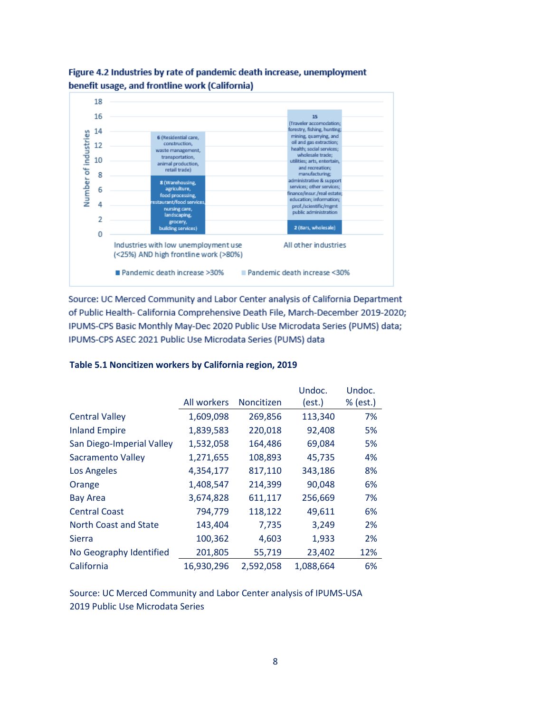

## Figure 4.2 Industries by rate of pandemic death increase, unemployment benefit usage, and frontline work (California)

Source: UC Merced Community and Labor Center analysis of California Department of Public Health- California Comprehensive Death File, March-December 2019-2020; IPUMS-CPS Basic Monthly May-Dec 2020 Public Use Microdata Series (PUMS) data; IPUMS-CPS ASEC 2021 Public Use Microdata Series (PUMS) data

## **Table 5.1 Noncitizen workers by California region, 2019**

|                           |             |                   | Undoc.    | Undoc.   |
|---------------------------|-------------|-------------------|-----------|----------|
|                           | All workers | <b>Noncitizen</b> | (est.)    | % (est.) |
| <b>Central Valley</b>     | 1,609,098   | 269,856           | 113,340   | 7%       |
| <b>Inland Empire</b>      | 1,839,583   | 220,018           | 92,408    | 5%       |
| San Diego-Imperial Valley | 1,532,058   | 164,486           | 69,084    | 5%       |
| <b>Sacramento Valley</b>  | 1,271,655   | 108,893           | 45,735    | 4%       |
| Los Angeles               | 4,354,177   | 817,110           | 343,186   | 8%       |
| Orange                    | 1,408,547   | 214,399           | 90,048    | 6%       |
| <b>Bay Area</b>           | 3,674,828   | 611,117           | 256,669   | 7%       |
| <b>Central Coast</b>      | 794,779     | 118,122           | 49,611    | 6%       |
| North Coast and State     | 143,404     | 7,735             | 3,249     | 2%       |
| Sierra                    | 100,362     | 4,603             | 1,933     | 2%       |
| No Geography Identified   | 201,805     | 55,719            | 23,402    | 12%      |
| California                | 16,930,296  | 2,592,058         | 1,088,664 | 6%       |

Source: UC Merced Community and Labor Center analysis of IPUMS-USA 2019 Public Use Microdata Series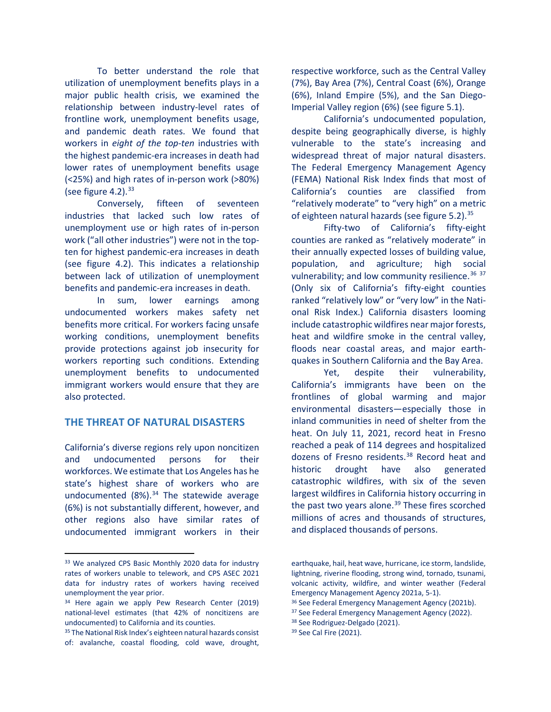To better understand the role that utilization of unemployment benefits plays in a major public health crisis, we examined the relationship between industry-level rates of frontline work, unemployment benefits usage, and pandemic death rates. We found that workers in *eight of the top-ten* industries with the highest pandemic-era increases in death had lower rates of unemployment benefits usage (<25%) and high rates of in-person work (>80%) (see figure 4.2).  $33$ 

Conversely, fifteen of seventeen industries that lacked such low rates of unemployment use or high rates of in-person work ("all other industries") were not in the topten for highest pandemic-era increases in death (see figure 4.2). This indicates a relationship between lack of utilization of unemployment benefits and pandemic-era increases in death.

In sum, lower earnings among undocumented workers makes safety net benefits more critical. For workers facing unsafe working conditions, unemployment benefits provide protections against job insecurity for workers reporting such conditions. Extending unemployment benefits to undocumented immigrant workers would ensure that they are also protected.

## **THE THREAT OF NATURAL DISASTERS**

California's diverse regions rely upon noncitizen and undocumented persons for their workforces. We estimate that Los Angeles has he state's highest share of workers who are undocumented  $(8\%)$ .<sup>[34](#page-8-1)</sup> The statewide average (6%) is not substantially different, however, and other regions also have similar rates of undocumented immigrant workers in their

respective workforce, such as the Central Valley (7%), Bay Area (7%), Central Coast (6%), Orange (6%), Inland Empire (5%), and the San Diego-Imperial Valley region (6%) (see figure 5.1).

California's undocumented population, despite being geographically diverse, is highly vulnerable to the state's increasing and widespread threat of major natural disasters. The Federal Emergency Management Agency (FEMA) National Risk Index finds that most of California's counties are classified from "relatively moderate" to "very high" on a metric of eighteen natural hazards (see figure  $5.2$ ).<sup>35</sup>

Fifty-two of California's fifty-eight counties are ranked as "relatively moderate" in their annually expected losses of building value, population, and agriculture; high social vulnerability; and low community resilience.  $36\frac{37}{2}$  $36\frac{37}{2}$  $36\frac{37}{2}$  $36\frac{37}{2}$ (Only six of California's fifty-eight counties ranked "relatively low" or "very low" in the National Risk Index.) California disasters looming include catastrophic wildfires near major forests, heat and wildfire smoke in the central valley, floods near coastal areas, and major earthquakes in Southern California and the Bay Area.

Yet, despite their vulnerability, California's immigrants have been on the frontlines of global warming and major environmental disasters—especially those in inland communities in need of shelter from the heat. On July 11, 2021, record heat in Fresno reached a peak of 114 degrees and hospitalized dozens of Fresno residents.<sup>[38](#page-8-4)</sup> Record heat and historic drought have also generated catastrophic wildfires, with six of the seven largest wildfires in California history occurring in the past two years alone. $39$  These fires scorched millions of acres and thousands of structures, and displaced thousands of persons.

<sup>39</sup> See Cal Fire (2021).

<span id="page-8-0"></span><sup>33</sup> We analyzed CPS Basic Monthly 2020 data for industry rates of workers unable to telework, and CPS ASEC 2021 data for industry rates of workers having received unemployment the year prior.

<span id="page-8-3"></span><span id="page-8-1"></span><sup>34</sup> Here again we apply Pew Research Center (2019) national-level estimates (that 42% of noncitizens are undocumented) to California and its counties.

<span id="page-8-4"></span><span id="page-8-2"></span><sup>35</sup> The National Risk Index's eighteen natural hazards consist of: avalanche, coastal flooding, cold wave, drought,

earthquake, hail, heat wave, hurricane, ice storm, landslide, lightning, riverine flooding, strong wind, tornado, tsunami, volcanic activity, wildfire, and winter weather (Federal Emergency Management Agency 2021a, 5-1).

<sup>36</sup> See Federal Emergency Management Agency (2021b).

<sup>&</sup>lt;sup>37</sup> See Federal Emergency Management Agency (2022).

<sup>38</sup> See Rodriguez-Delgado (2021).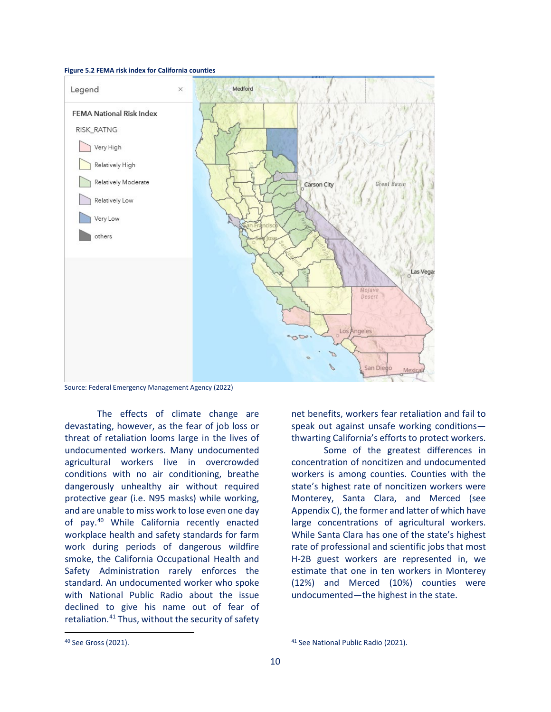#### **Figure 5.2 FEMA risk index for California counties**



Source: Federal Emergency Management Agency (2022)

The effects of climate change are devastating, however, as the fear of job loss or threat of retaliation looms large in the lives of undocumented workers. Many undocumented agricultural workers live in overcrowded conditions with no air conditioning, breathe dangerously unhealthy air without required protective gear (i.e. N95 masks) while working, and are unable to miss work to lose even one day of pay.<sup>[40](#page-9-0)</sup> While California recently enacted workplace health and safety standards for farm work during periods of dangerous wildfire smoke, the California Occupational Health and Safety Administration rarely enforces the standard. An undocumented worker who spoke with National Public Radio about the issue declined to give his name out of fear of retaliation.<sup>[41](#page-9-0)</sup> Thus, without the security of safety

<span id="page-9-0"></span><sup>40</sup> See Gross (2021).

net benefits, workers fear retaliation and fail to speak out against unsafe working conditions thwarting California's efforts to protect workers.

Some of the greatest differences in concentration of noncitizen and undocumented workers is among counties. Counties with the state's highest rate of noncitizen workers were Monterey, Santa Clara, and Merced (see Appendix C), the former and latter of which have large concentrations of agricultural workers. While Santa Clara has one of the state's highest rate of professional and scientific jobs that most H-2B guest workers are represented in, we estimate that one in ten workers in Monterey (12%) and Merced (10%) counties were undocumented—the highest in the state.

<sup>41</sup> See National Public Radio (2021).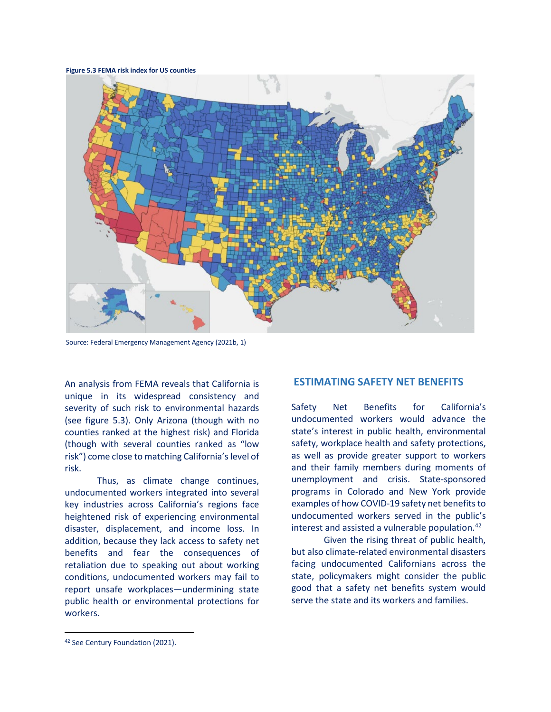**Figure 5.3 FEMA risk index for US counties**



Source: Federal Emergency Management Agency (2021b, 1)

An analysis from FEMA reveals that California is unique in its widespread consistency and severity of such risk to environmental hazards (see figure 5.3). Only Arizona (though with no counties ranked at the highest risk) and Florida (though with several counties ranked as "low risk") come close to matching California's level of risk.

Thus, as climate change continues, undocumented workers integrated into several key industries across California's regions face heightened risk of experiencing environmental disaster, displacement, and income loss. In addition, because they lack access to safety net benefits and fear the consequences of retaliation due to speaking out about working conditions, undocumented workers may fail to report unsafe workplaces—undermining state public health or environmental protections for workers.

#### **ESTIMATING SAFETY NET BENEFITS**

Safety Net Benefits for California's undocumented workers would advance the state's interest in public health, environmental safety, workplace health and safety protections, as well as provide greater support to workers and their family members during moments of unemployment and crisis. State-sponsored programs in Colorado and New York provide examples of how COVID-19 safety net benefits to undocumented workers served in the public's interest and assisted a vulnerable population. $42$ 

Given the rising threat of public health, but also climate-related environmental disasters facing undocumented Californians across the state, policymakers might consider the public good that a safety net benefits system would serve the state and its workers and families.

<span id="page-10-0"></span><sup>42</sup> See Century Foundation (2021).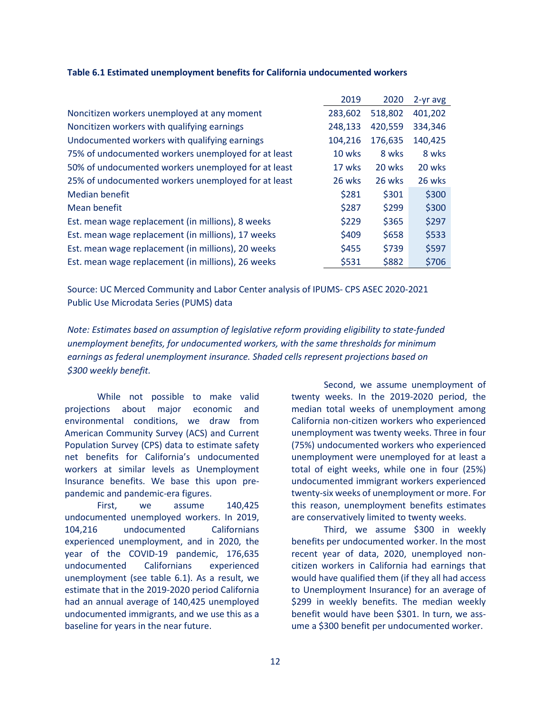|                                                     | 2019    | 2020    | 2-yr avg |
|-----------------------------------------------------|---------|---------|----------|
| Noncitizen workers unemployed at any moment         | 283,602 | 518,802 | 401,202  |
| Noncitizen workers with qualifying earnings         | 248,133 | 420,559 | 334,346  |
| Undocumented workers with qualifying earnings       | 104,216 | 176,635 | 140,425  |
| 75% of undocumented workers unemployed for at least | 10 wks  | 8 wks   | 8 wks    |
| 50% of undocumented workers unemployed for at least | 17 wks  | 20 wks  | 20 wks   |
| 25% of undocumented workers unemployed for at least | 26 wks  | 26 wks  | 26 wks   |
| Median benefit                                      | \$281   | \$301   | \$300    |
| Mean benefit                                        | \$287   | \$299   | \$300    |
| Est. mean wage replacement (in millions), 8 weeks   | \$229   | \$365   | \$297    |
| Est. mean wage replacement (in millions), 17 weeks  | \$409   | \$658   | \$533    |
| Est. mean wage replacement (in millions), 20 weeks  | \$455   | \$739   | \$597    |
| Est. mean wage replacement (in millions), 26 weeks  | \$531   | \$882   | \$706    |

#### **Table 6.1 Estimated unemployment benefits for California undocumented workers**

Source: UC Merced Community and Labor Center analysis of IPUMS- CPS ASEC 2020-2021 Public Use Microdata Series (PUMS) data

*Note: Estimates based on assumption of legislative reform providing eligibility to state-funded unemployment benefits, for undocumented workers, with the same thresholds for minimum earnings as federal unemployment insurance. Shaded cells represent projections based on \$300 weekly benefit.*

While not possible to make valid projections about major economic and environmental conditions, we draw from American Community Survey (ACS) and Current Population Survey (CPS) data to estimate safety net benefits for California's undocumented workers at similar levels as Unemployment Insurance benefits. We base this upon prepandemic and pandemic-era figures.

First, we assume 140,425 undocumented unemployed workers. In 2019, 104,216 undocumented Californians experienced unemployment, and in 2020, the year of the COVID-19 pandemic, 176,635 undocumented Californians experienced unemployment (see table 6.1). As a result, we estimate that in the 2019-2020 period California had an annual average of 140,425 unemployed undocumented immigrants, and we use this as a baseline for years in the near future.

Second, we assume unemployment of twenty weeks. In the 2019-2020 period, the median total weeks of unemployment among California non-citizen workers who experienced unemployment was twenty weeks. Three in four (75%) undocumented workers who experienced unemployment were unemployed for at least a total of eight weeks, while one in four (25%) undocumented immigrant workers experienced twenty-six weeks of unemployment or more. For this reason, unemployment benefits estimates are conservatively limited to twenty weeks.

Third, we assume \$300 in weekly benefits per undocumented worker. In the most recent year of data, 2020, unemployed noncitizen workers in California had earnings that would have qualified them (if they all had access to Unemployment Insurance) for an average of \$299 in weekly benefits. The median weekly benefit would have been \$301. In turn, we assume a \$300 benefit per undocumented worker.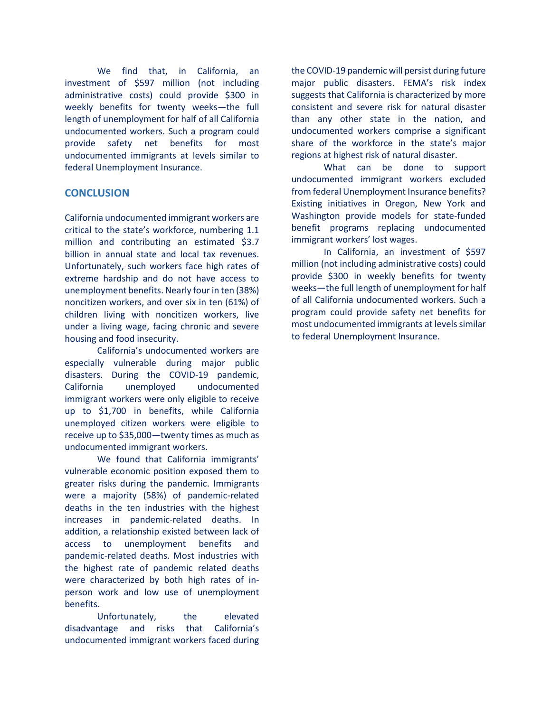We find that, in California, an investment of \$597 million (not including administrative costs) could provide \$300 in weekly benefits for twenty weeks—the full length of unemployment for half of all California undocumented workers. Such a program could provide safety net benefits for most undocumented immigrants at levels similar to federal Unemployment Insurance.

## **CONCLUSION**

California undocumented immigrant workers are critical to the state's workforce, numbering 1.1 million and contributing an estimated \$3.7 billion in annual state and local tax revenues. Unfortunately, such workers face high rates of extreme hardship and do not have access to unemployment benefits. Nearly four in ten (38%) noncitizen workers, and over six in ten (61%) of children living with noncitizen workers, live under a living wage, facing chronic and severe housing and food insecurity.

California's undocumented workers are especially vulnerable during major public disasters. During the COVID-19 pandemic, California unemployed undocumented immigrant workers were only eligible to receive up to \$1,700 in benefits, while California unemployed citizen workers were eligible to receive up to \$35,000—twenty times as much as undocumented immigrant workers.

We found that California immigrants' vulnerable economic position exposed them to greater risks during the pandemic. Immigrants were a majority (58%) of pandemic-related deaths in the ten industries with the highest increases in pandemic-related deaths. In addition, a relationship existed between lack of access to unemployment benefits and pandemic-related deaths. Most industries with the highest rate of pandemic related deaths were characterized by both high rates of inperson work and low use of unemployment benefits.

Unfortunately, the elevated disadvantage and risks that California's undocumented immigrant workers faced during

the COVID-19 pandemic will persist during future major public disasters. FEMA's risk index suggests that California is characterized by more consistent and severe risk for natural disaster than any other state in the nation, and undocumented workers comprise a significant share of the workforce in the state's major regions at highest risk of natural disaster.

What can be done to support undocumented immigrant workers excluded from federal Unemployment Insurance benefits? Existing initiatives in Oregon, New York and Washington provide models for state-funded benefit programs replacing undocumented immigrant workers' lost wages.

In California, an investment of \$597 million (not including administrative costs) could provide \$300 in weekly benefits for twenty weeks—the full length of unemployment for half of all California undocumented workers. Such a program could provide safety net benefits for most undocumented immigrants at levels similar to federal Unemployment Insurance.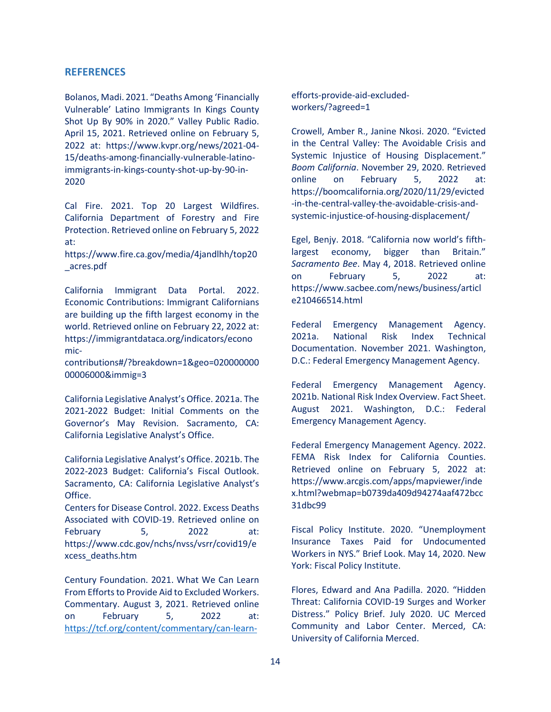#### **REFERENCES**

Bolanos, Madi. 2021. "Deaths Among 'Financially Vulnerable' Latino Immigrants In Kings County Shot Up By 90% in 2020." Valley Public Radio. April 15, 2021. Retrieved online on February 5, 2022 at: https://www.kvpr.org/news/2021-04- 15/deaths-among-financially-vulnerable-latinoimmigrants-in-kings-county-shot-up-by-90-in-2020

Cal Fire. 2021. Top 20 Largest Wildfires. California Department of Forestry and Fire Protection. Retrieved online on February 5, 2022 at:

https://www.fire.ca.gov/media/4jandlhh/top20 \_acres.pdf

California Immigrant Data Portal. 2022. Economic Contributions: Immigrant Californians are building up the fifth largest economy in the world. Retrieved online on February 22, 2022 at: https://immigrantdataca.org/indicators/econo mic-

contributions#/?breakdown=1&geo=020000000 00006000&immig=3

California Legislative Analyst's Office. 2021a. The 2021-2022 Budget: Initial Comments on the Governor's May Revision. Sacramento, CA: California Legislative Analyst's Office.

California Legislative Analyst's Office. 2021b. The 2022-2023 Budget: California's Fiscal Outlook. Sacramento, CA: California Legislative Analyst's Office.

Centers for Disease Control. 2022. Excess Deaths Associated with COVID-19. Retrieved online on February 5, 2022 at: https://www.cdc.gov/nchs/nvss/vsrr/covid19/e xcess\_deaths.htm

Century Foundation. 2021. What We Can Learn From Efforts to Provide Aid to Excluded Workers. Commentary. August 3, 2021. Retrieved online on February 5, 2022 at: <https://tcf.org/content/commentary/can-learn-> efforts-provide-aid-excludedworkers/?agreed=1

Crowell, Amber R., Janine Nkosi. 2020. "Evicted in the Central Valley: The Avoidable Crisis and Systemic Injustice of Housing Displacement." *Boom California*. November 29, 2020. Retrieved online on February 5, 2022 at: https://boomcalifornia.org/2020/11/29/evicted -in-the-central-valley-the-avoidable-crisis-andsystemic-injustice-of-housing-displacement/

Egel, Benjy. 2018. "California now world's fifthlargest economy, bigger than Britain." *Sacramento Bee*. May 4, 2018. Retrieved online on February 5, 2022 at: https://www.sacbee.com/news/business/articl e210466514.html

Federal Emergency Management Agency. 2021a. National Risk Index Technical Documentation. November 2021. Washington, D.C.: Federal Emergency Management Agency.

Federal Emergency Management Agency. 2021b. National Risk Index Overview. Fact Sheet. August 2021. Washington, D.C.: Federal Emergency Management Agency.

Federal Emergency Management Agency. 2022. FEMA Risk Index for California Counties. Retrieved online on February 5, 2022 at: https://www.arcgis.com/apps/mapviewer/inde x.html?webmap=b0739da409d94274aaf472bcc 31dbc99

Fiscal Policy Institute. 2020. "Unemployment Insurance Taxes Paid for Undocumented Workers in NYS." Brief Look. May 14, 2020. New York: Fiscal Policy Institute.

Flores, Edward and Ana Padilla. 2020. "Hidden Threat: California COVID-19 Surges and Worker Distress." Policy Brief. July 2020. UC Merced Community and Labor Center. Merced, CA: University of California Merced.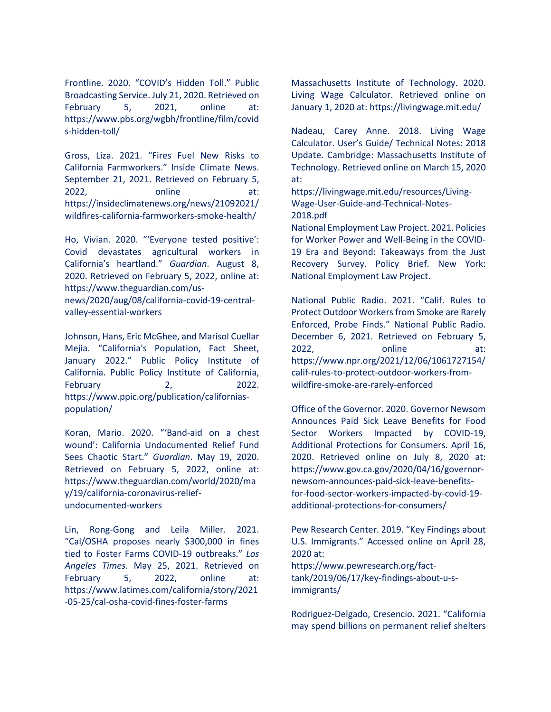Frontline. 2020. "COVID's Hidden Toll." Public Broadcasting Service. July 21, 2020. Retrieved on February 5, 2021, online at: https://www.pbs.org/wgbh/frontline/film/covid s-hidden-toll/

Gross, Liza. 2021. "Fires Fuel New Risks to California Farmworkers." Inside Climate News. September 21, 2021. Retrieved on February 5, 2022, online at: https://insideclimatenews.org/news/21092021/ wildfires-california-farmworkers-smoke-health/

Ho, Vivian. 2020. "'Everyone tested positive': Covid devastates agricultural workers in California's heartland." *Guardian*. August 8, 2020. Retrieved on February 5, 2022, online at: https://www.theguardian.com/usnews/2020/aug/08/california-covid-19-centralvalley-essential-workers

Johnson, Hans, Eric McGhee, and Marisol Cuellar Mejia. "California's Population, Fact Sheet, January 2022." Public Policy Institute of California. Public Policy Institute of California, February 2, 2022. https://www.ppic.org/publication/californiaspopulation/

Koran, Mario. 2020. "'Band-aid on a chest wound': California Undocumented Relief Fund Sees Chaotic Start." *Guardian*. May 19, 2020. Retrieved on February 5, 2022, online at: https://www.theguardian.com/world/2020/ma y/19/california-coronavirus-reliefundocumented-workers

Lin, Rong-Gong and Leila Miller. 2021. "Cal/OSHA proposes nearly \$300,000 in fines tied to Foster Farms COVID-19 outbreaks." *Los Angeles Times*. May 25, 2021. Retrieved on February 5, 2022, online at: https://www.latimes.com/california/story/2021 -05-25/cal-osha-covid-fines-foster-farms

Massachusetts Institute of Technology. 2020. Living Wage Calculator. Retrieved online on January 1, 2020 at: https://livingwage.mit.edu/

Nadeau, Carey Anne. 2018. Living Wage Calculator. User's Guide/ Technical Notes: 2018 Update. Cambridge: Massachusetts Institute of Technology. Retrieved online on March 15, 2020 at:

https://livingwage.mit.edu/resources/Living-Wage-User-Guide-and-Technical-Notes-2018.pdf

National Employment Law Project. 2021. Policies for Worker Power and Well-Being in the COVID-19 Era and Beyond: Takeaways from the Just Recovery Survey. Policy Brief. New York: National Employment Law Project.

National Public Radio. 2021. "Calif. Rules to Protect Outdoor Workers from Smoke are Rarely Enforced, Probe Finds." National Public Radio. December 6, 2021. Retrieved on February 5, 2022, online at: https://www.npr.org/2021/12/06/1061727154/ calif-rules-to-protect-outdoor-workers-fromwildfire-smoke-are-rarely-enforced

Office of the Governor. 2020. Governor Newsom Announces Paid Sick Leave Benefits for Food Sector Workers Impacted by COVID-19, Additional Protections for Consumers. April 16, 2020. Retrieved online on July 8, 2020 at: https://www.gov.ca.gov/2020/04/16/governornewsom-announces-paid-sick-leave-benefitsfor-food-sector-workers-impacted-by-covid-19 additional-protections-for-consumers/

Pew Research Center. 2019. "Key Findings about U.S. Immigrants." Accessed online on April 28, 2020 at:

https://www.pewresearch.org/facttank/2019/06/17/key-findings-about-u-simmigrants/

Rodriguez-Delgado, Cresencio. 2021. "California may spend billions on permanent relief shelters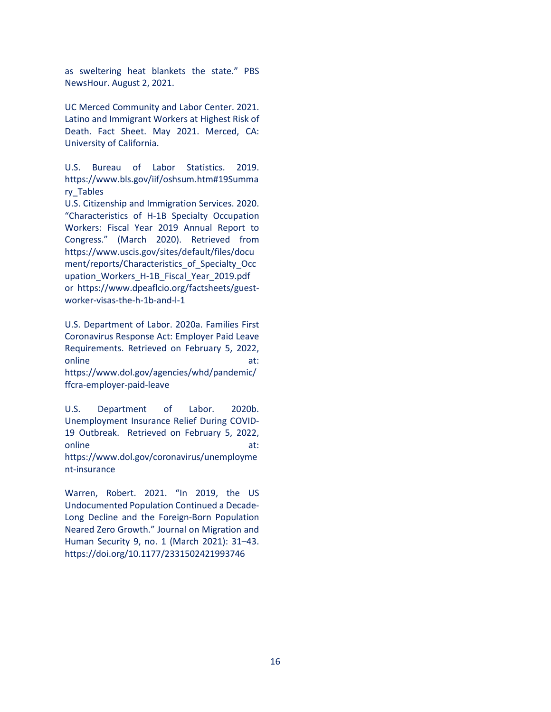as sweltering heat blankets the state." PBS NewsHour. August 2, 2021.

UC Merced Community and Labor Center. 2021. Latino and Immigrant Workers at Highest Risk of Death. Fact Sheet. May 2021. Merced, CA: University of California.

U.S. Bureau of Labor Statistics. 2019. https://www.bls.gov/iif/oshsum.htm#19Summa ry\_Tables

U.S. Citizenship and Immigration Services. 2020. "Characteristics of H-1B Specialty Occupation Workers: Fiscal Year 2019 Annual Report to Congress." (March 2020). Retrieved from https://www.uscis.gov/sites/default/files/docu ment/reports/Characteristics\_of\_Specialty\_Occ upation\_Workers\_H-1B\_Fiscal\_Year\_2019.pdf or https://www.dpeaflcio.org/factsheets/guestworker-visas-the-h-1b-and-l-1

U.S. Department of Labor. 2020a. Families First Coronavirus Response Act: Employer Paid Leave Requirements. Retrieved on February 5, 2022, online at: https://www.dol.gov/agencies/whd/pandemic/ ffcra-employer-paid-leave

U.S. Department of Labor. 2020b. Unemployment Insurance Relief During COVID-19 Outbreak. Retrieved on February 5, 2022, online at: https://www.dol.gov/coronavirus/unemployme nt-insurance

Warren, Robert. 2021. "In 2019, the US Undocumented Population Continued a Decade-Long Decline and the Foreign-Born Population Neared Zero Growth." Journal on Migration and Human Security 9, no. 1 (March 2021): 31–43. https://doi.org/10.1177/2331502421993746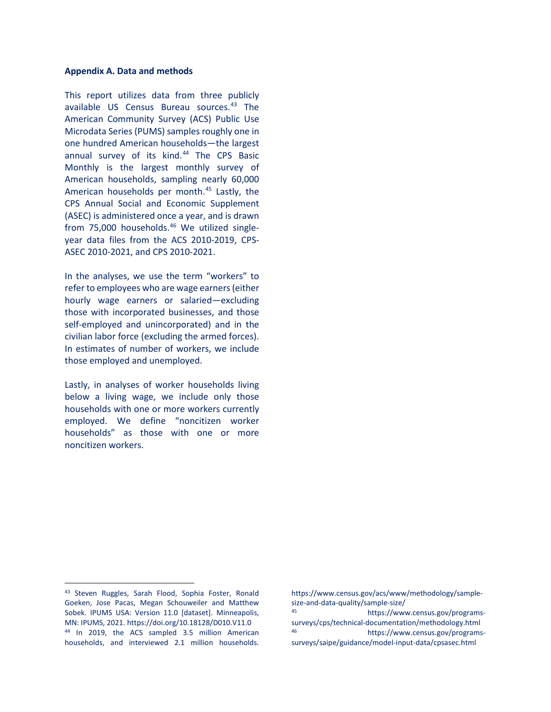#### **Appendix A. Data and methods**

This report utilizes data from three publicly available US Census Bureau sources.[43](#page-16-0) The American Community Survey (ACS) Public Use Microdata Series (PUMS) samples roughly one in one hundred American households—the largest annual survey of its kind.<sup>[44](#page-16-1)</sup> The CPS Basic Monthly is the largest monthly survey of American households, sampling nearly 60,000 American households per month.<sup>45</sup> Lastly, the CPS Annual Social and Economic Supplement (ASEC) is administered once a year, and is drawn from 75,000 households.<sup>[46](#page-16-1)</sup> We utilized singleyear data files from the ACS 2010-2019, CPS-ASEC 2010-2021, and CPS 2010-2021.

In the analyses, we use the term "workers" to refer to employees who are wage earners (either hourly wage earners or salaried—excluding those with incorporated businesses, and those self-employed and unincorporated) and in the civilian labor force (excluding the armed forces). In estimates of number of workers, we include those employed and unemployed.

Lastly, in analyses of worker households living below a living wage, we include only those households with one or more workers currently employed. We define "noncitizen worker households" as those with one or more noncitizen workers.

https://www.census.gov/acs/www/methodology/samplesize-and-data-quality/sample-size/ https://www.census.gov/programssurveys/cps/technical-documentation/methodology.html https://www.census.gov/programssurveys/saipe/guidance/model-input-data/cpsasec.html

<span id="page-16-2"></span><span id="page-16-1"></span><span id="page-16-0"></span><sup>43</sup> Steven Ruggles, Sarah Flood, Sophia Foster, Ronald Goeken, Jose Pacas, Megan Schouweiler and Matthew Sobek. IPUMS USA: Version 11.0 [dataset]. Minneapolis, MN: IPUMS, 2021. https://doi.org/10.18128/D010.V11.0 <sup>44</sup> In 2019, the ACS sampled 3.5 million American households, and interviewed 2.1 million households.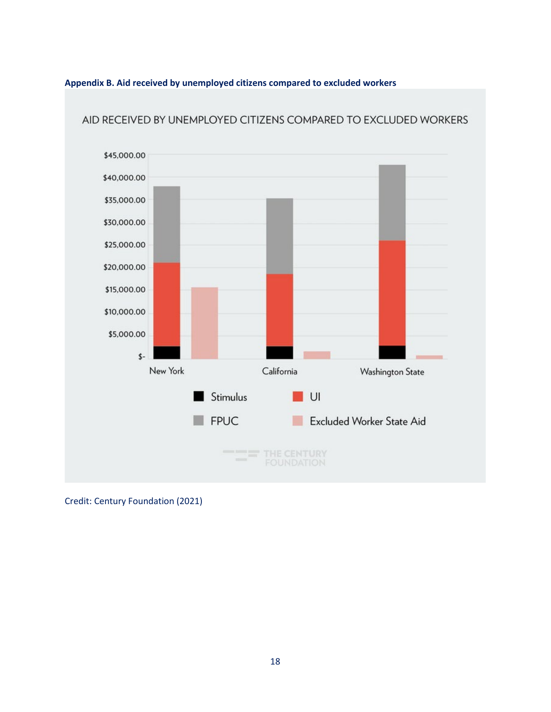



AID RECEIVED BY UNEMPLOYED CITIZENS COMPARED TO EXCLUDED WORKERS

Credit: Century Foundation (2021)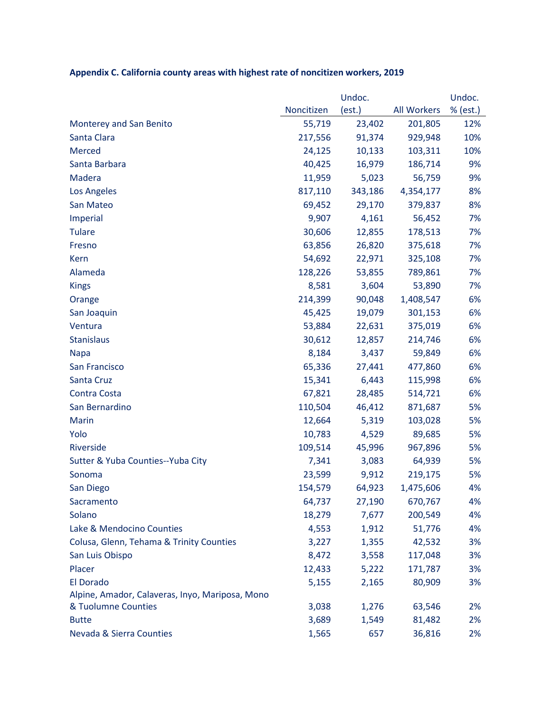|                                                 | Undoc.     |         |                    | Undoc.   |
|-------------------------------------------------|------------|---------|--------------------|----------|
|                                                 | Noncitizen | (est.)  | <b>All Workers</b> | % (est.) |
| Monterey and San Benito                         | 55,719     | 23,402  | 201,805            | 12%      |
| Santa Clara                                     | 217,556    | 91,374  | 929,948            | 10%      |
| <b>Merced</b>                                   | 24,125     | 10,133  | 103,311            | 10%      |
| Santa Barbara                                   | 40,425     | 16,979  | 186,714            | 9%       |
| Madera                                          | 11,959     | 5,023   | 56,759             | 9%       |
| Los Angeles                                     | 817,110    | 343,186 | 4,354,177          | 8%       |
| San Mateo                                       | 69,452     | 29,170  | 379,837            | 8%       |
| Imperial                                        | 9,907      | 4,161   | 56,452             | 7%       |
| <b>Tulare</b>                                   | 30,606     | 12,855  | 178,513            | 7%       |
| Fresno                                          | 63,856     | 26,820  | 375,618            | 7%       |
| Kern                                            | 54,692     | 22,971  | 325,108            | 7%       |
| Alameda                                         | 128,226    | 53,855  | 789,861            | 7%       |
| <b>Kings</b>                                    | 8,581      | 3,604   | 53,890             | 7%       |
| Orange                                          | 214,399    | 90,048  | 1,408,547          | 6%       |
| San Joaquin                                     | 45,425     | 19,079  | 301,153            | 6%       |
| Ventura                                         | 53,884     | 22,631  | 375,019            | 6%       |
| <b>Stanislaus</b>                               | 30,612     | 12,857  | 214,746            | 6%       |
| <b>Napa</b>                                     | 8,184      | 3,437   | 59,849             | 6%       |
| San Francisco                                   | 65,336     | 27,441  | 477,860            | 6%       |
| Santa Cruz                                      | 15,341     | 6,443   | 115,998            | 6%       |
| Contra Costa                                    | 67,821     | 28,485  | 514,721            | 6%       |
| San Bernardino                                  | 110,504    | 46,412  | 871,687            | 5%       |
| <b>Marin</b>                                    | 12,664     | 5,319   | 103,028            | 5%       |
| Yolo                                            | 10,783     | 4,529   | 89,685             | 5%       |
| Riverside                                       | 109,514    | 45,996  | 967,896            | 5%       |
| Sutter & Yuba Counties--Yuba City               | 7,341      | 3,083   | 64,939             | 5%       |
| Sonoma                                          | 23,599     | 9,912   | 219,175            | 5%       |
| San Diego                                       | 154,579    | 64,923  | 1,475,606          | 4%       |
| Sacramento                                      | 64,737     | 27,190  | 670,767            | 4%       |
| Solano                                          | 18,279     | 7,677   | 200,549            | 4%       |
| Lake & Mendocino Counties                       | 4,553      | 1,912   | 51,776             | 4%       |
| Colusa, Glenn, Tehama & Trinity Counties        | 3,227      | 1,355   | 42,532             | 3%       |
| San Luis Obispo                                 | 8,472      | 3,558   | 117,048            | 3%       |
| Placer                                          | 12,433     | 5,222   | 171,787            | 3%       |
| El Dorado                                       | 5,155      | 2,165   | 80,909             | 3%       |
| Alpine, Amador, Calaveras, Inyo, Mariposa, Mono |            |         |                    |          |
| & Tuolumne Counties                             | 3,038      | 1,276   | 63,546             | 2%       |
| <b>Butte</b>                                    | 3,689      | 1,549   | 81,482             | 2%       |
| Nevada & Sierra Counties                        | 1,565      | 657     | 36,816             | 2%       |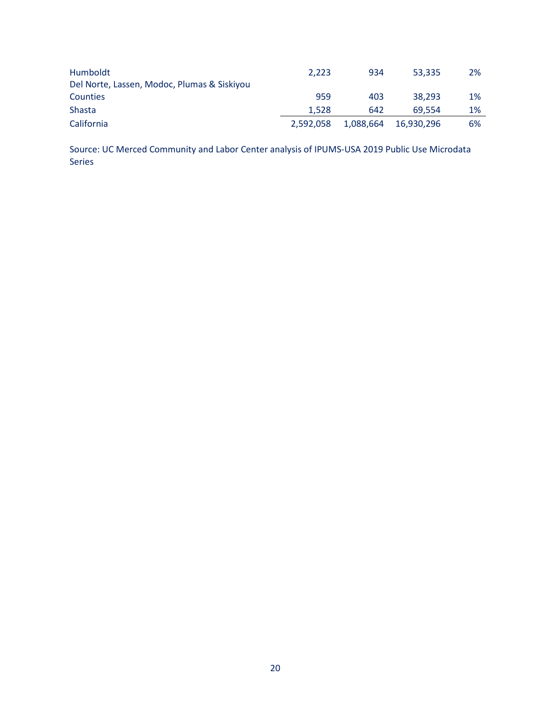| Humboldt                                    | 2.223     | 934       | 53.335     | 2%    |
|---------------------------------------------|-----------|-----------|------------|-------|
| Del Norte, Lassen, Modoc, Plumas & Siskiyou |           |           |            |       |
| Counties                                    | 959       | 403       | 38.293     | 1%    |
| Shasta                                      | 1.528     | 642       | 69.554     | $1\%$ |
| California                                  | 2.592.058 | 1,088,664 | 16.930.296 | 6%    |

Source: UC Merced Community and Labor Center analysis of IPUMS-USA 2019 Public Use Microdata Series